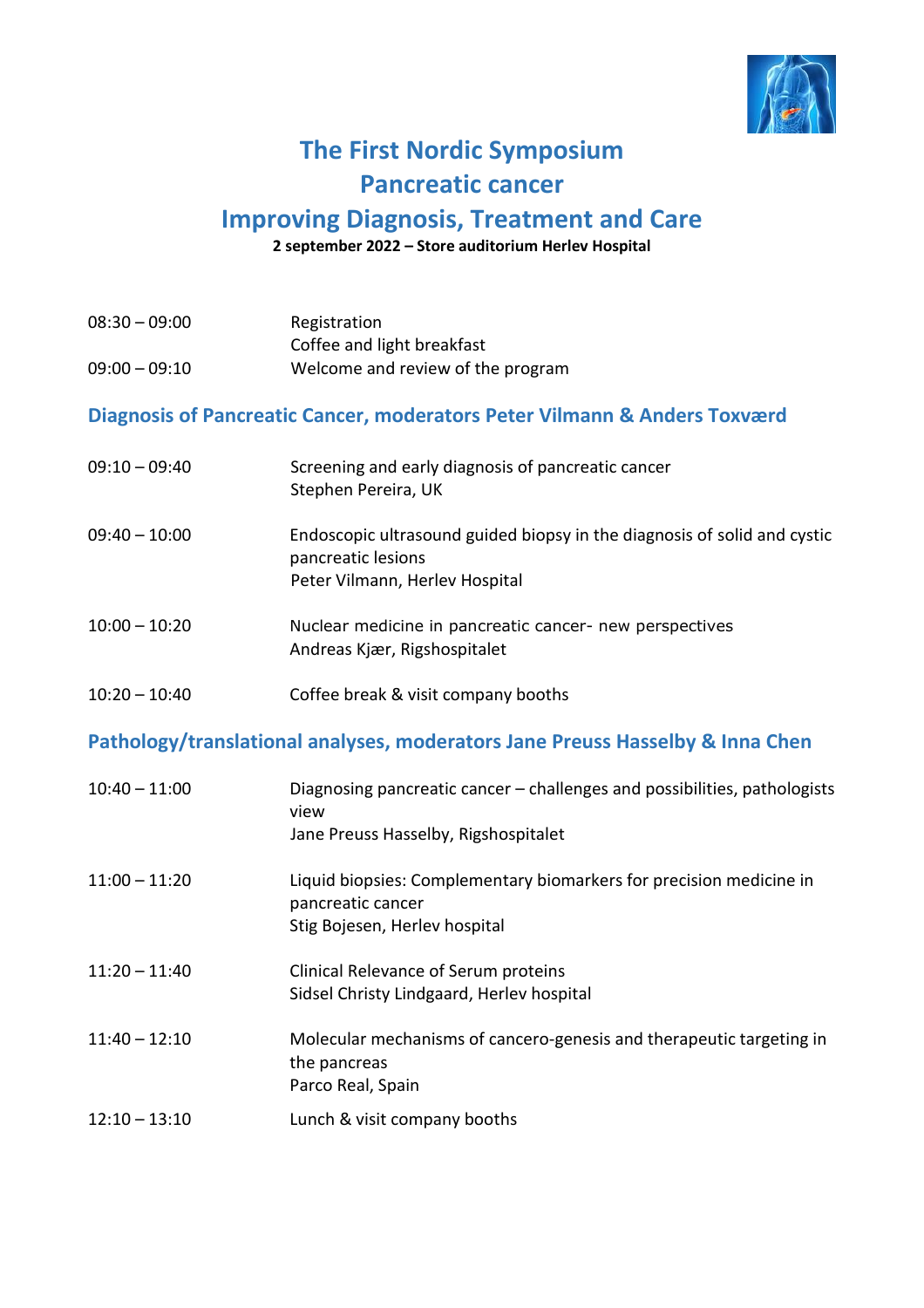

## **The First Nordic Symposium Pancreatic cancer**

## **Improving Diagnosis, Treatment and Care**

**2 september 2022 – Store auditorium Herlev Hospital**

| $08:30 - 09:00$<br>$09:00 - 09:10$                                        | Registration<br>Coffee and light breakfast<br>Welcome and review of the program                                                  |  |
|---------------------------------------------------------------------------|----------------------------------------------------------------------------------------------------------------------------------|--|
| Diagnosis of Pancreatic Cancer, moderators Peter Vilmann & Anders Toxværd |                                                                                                                                  |  |
| $09:10 - 09:40$                                                           | Screening and early diagnosis of pancreatic cancer<br>Stephen Pereira, UK                                                        |  |
| $09:40 - 10:00$                                                           | Endoscopic ultrasound guided biopsy in the diagnosis of solid and cystic<br>pancreatic lesions<br>Peter Vilmann, Herlev Hospital |  |
| $10:00 - 10:20$                                                           | Nuclear medicine in pancreatic cancer- new perspectives<br>Andreas Kjær, Rigshospitalet                                          |  |
| $10:20 - 10:40$                                                           | Coffee break & visit company booths                                                                                              |  |

## **Pathology/translational analyses, moderators Jane Preuss Hasselby & Inna Chen**

| $10:40 - 11:00$ | Diagnosing pancreatic cancer – challenges and possibilities, pathologists<br>view<br>Jane Preuss Hasselby, Rigshospitalet |
|-----------------|---------------------------------------------------------------------------------------------------------------------------|
| $11:00 - 11:20$ | Liquid biopsies: Complementary biomarkers for precision medicine in<br>pancreatic cancer<br>Stig Bojesen, Herlev hospital |
| $11:20 - 11:40$ | Clinical Relevance of Serum proteins<br>Sidsel Christy Lindgaard, Herlev hospital                                         |
| $11:40 - 12:10$ | Molecular mechanisms of cancero-genesis and therapeutic targeting in<br>the pancreas<br>Parco Real, Spain                 |
| $12:10 - 13:10$ | Lunch & visit company booths                                                                                              |